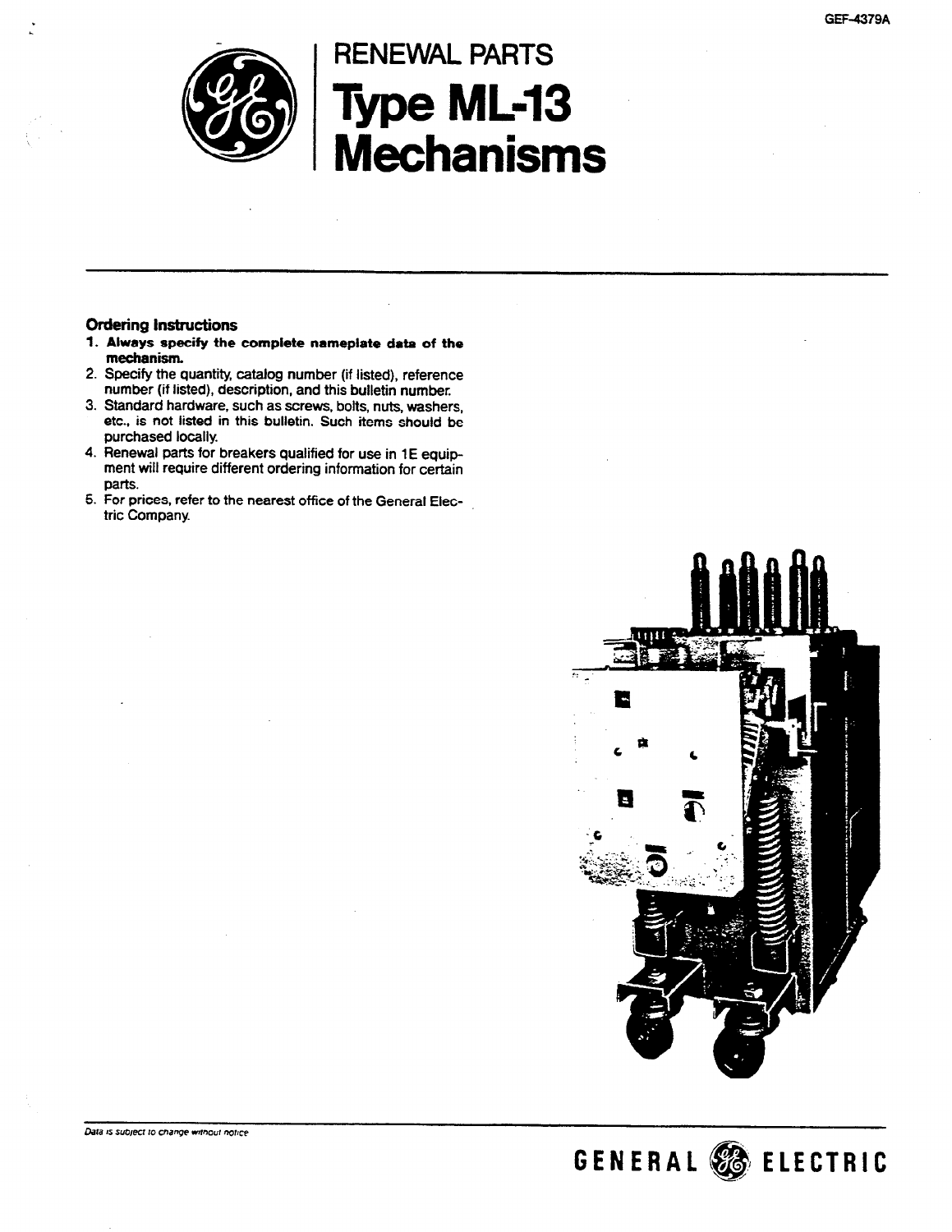

# RENEWAL PARTS Type ML-13 Mechanisms

#### Ordering Instructions

- 1. Always specify the complete nameplate data of the mechanism,
- 2. Specify the quantity, catalog number (if listed), reference number (if listed), description, and this bulletin number.
- 3. Standard hardware, such as screws, bolts, nuts, washers, etc., is not listed in this bulletin. Such items should be purchased locally.
- 4. Renewal parts for breakers qualified for use in 1E equipment will require different ordering information for certain parts.
- 5. For prices, refer to the nearest office of the General Eiectric Company.



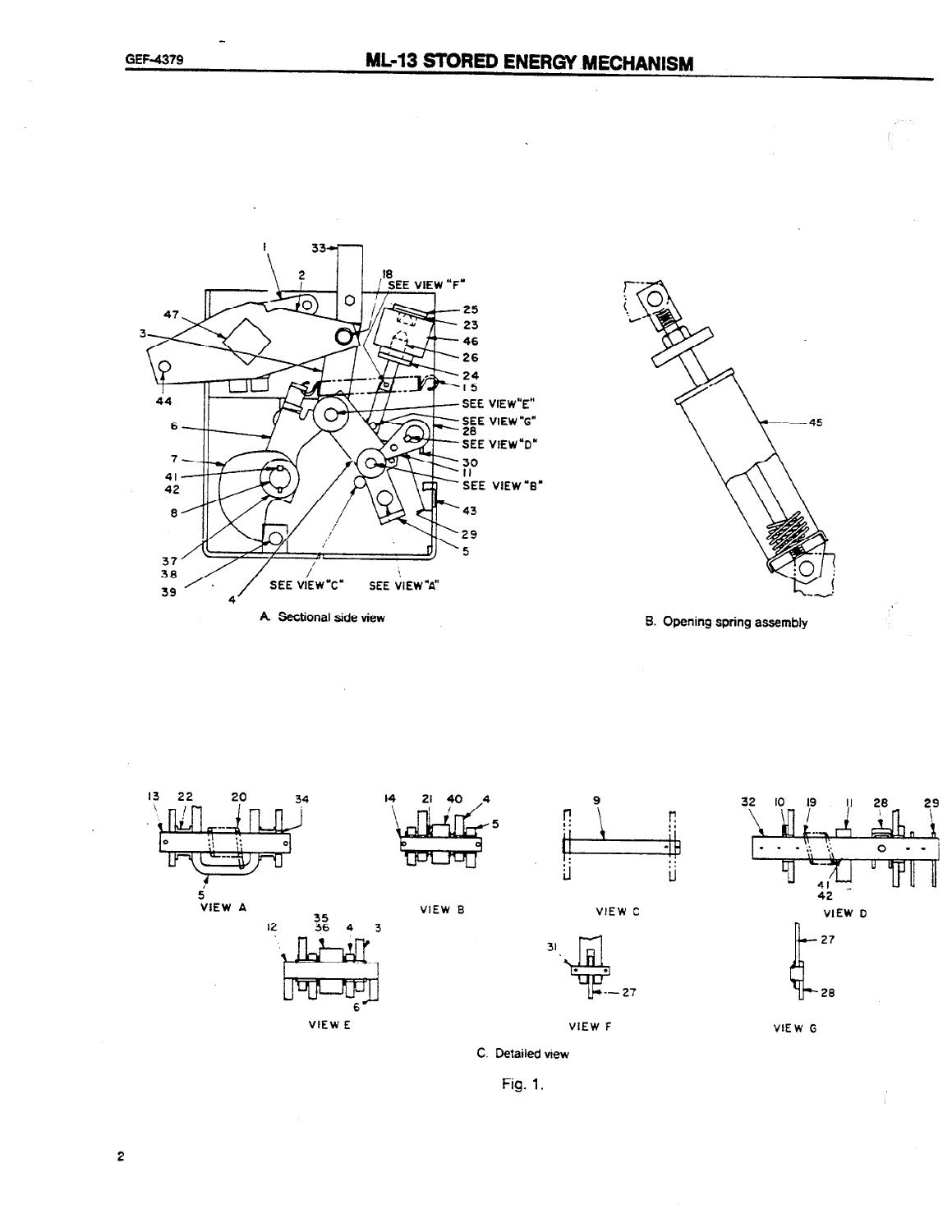















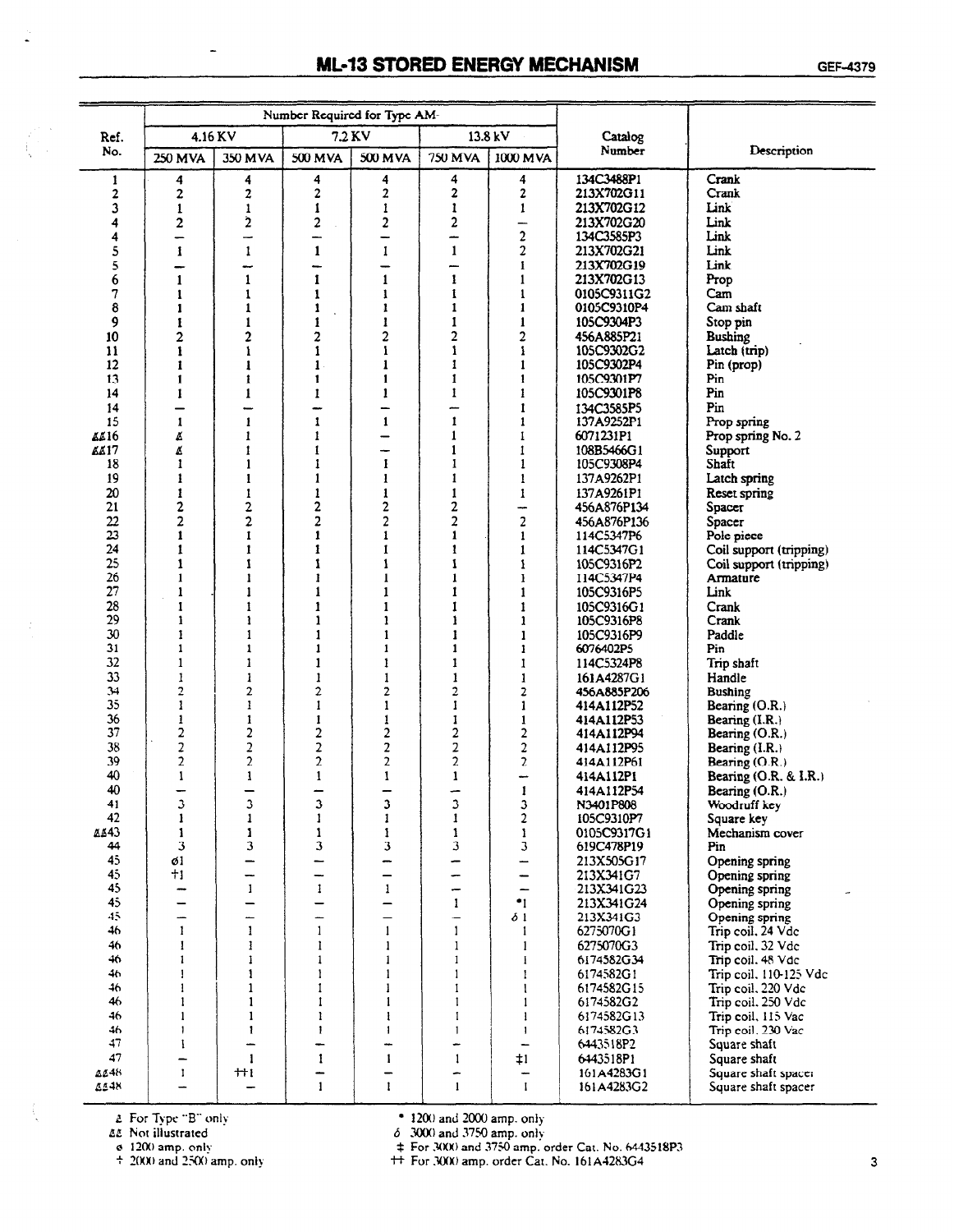## **ML-13 STORED ENERGY MECHANISM**

|                            |                              |                          |                               | Number Required for Type AM-     |                              |                                 |                          |                                  |
|----------------------------|------------------------------|--------------------------|-------------------------------|----------------------------------|------------------------------|---------------------------------|--------------------------|----------------------------------|
| Ref.                       | 4.16 KV                      |                          |                               | 7.2 KV                           |                              | 13.8 kV                         | Catalog                  |                                  |
| No.                        | <b>250 MVA</b>               | 350 MVA                  | 500 MVA                       | 500 MVA                          | <b>750 MVA</b>               | 1000 MVA                        | Number                   | Description                      |
| 1                          | 4                            | 4                        | 4                             | 4                                | 4                            | 4                               | 134C3488P1               | Crank                            |
| 2                          | 2                            | 2                        | $\mathbf 2$                   | 2                                | 2                            | 2                               | 213X702G11               | Crank                            |
| 3                          | $\mathbf{1}$                 | $\mathbf{1}$             | $\mathbf{1}$                  | 1                                | $\mathbf{1}$                 | 1                               | 213X702G12               | Link                             |
| 4                          | 2                            | 2                        | 2                             | 2                                | 2                            | —                               | 213X702G20               | Link                             |
| 4                          | —                            | →                        | —                             | -                                | --                           | $\overline{c}$                  | 134C3585P3               | Link                             |
| 5                          | $\mathbf{1}$                 | $\mathbf{1}$             | $\mathbf{1}$                  | 1                                | $\mathbf{1}$                 | 2                               | 213X702G21<br>213X702G19 | Link<br>Link                     |
| 5<br>6                     | -<br>$\mathbf{1}$            | -<br>$\mathbf{1}$        | $\overline{\phantom{0}}$<br>1 | -<br>$\mathbf{1}$                | —<br>1                       | 1<br>$\mathbf{1}$               | 213X702G13               | Prop                             |
| 7                          | 1                            | 1                        | 1                             | 1                                | 1                            | 1                               | 0105C9311G2              | Cam                              |
| 8                          | 1                            | $\mathbf{1}$             | $\mathbf{1}$                  | 1                                | $\mathbf{1}$                 | $\mathbf{1}$                    | 0105C9310P4              | Cam shaft                        |
| 9                          | 1                            | $\mathbf{1}$             | $\mathbf{1}$                  | 1                                | $\mathbf{1}$                 | 1                               | 105C9304P3               | Stop pin                         |
| 10 <sup>°</sup>            | $\overline{2}$               | 2                        | 2                             | $\overline{\mathbf{c}}$          | $\overline{2}$               | 2                               | 456A885P21               | <b>Bushing</b>                   |
| 11                         | 1                            | 1                        | 1                             | $\mathbf{I}$                     | 1                            | ı                               | 105C9302G2               | Latch (trip)                     |
| 12                         | 1                            | 1                        | $\mathbf{1}$ .                | 1                                | $\mathbf{1}$                 | 1                               | 105C9302P4               | Pin (prop)                       |
| 13                         | $\mathbf{I}$                 | 1                        | 1                             | 1                                | $\mathbf{1}$                 | 1                               | 105C9301P7               | Pin                              |
| 14                         | 1                            | 1                        | 1                             | 1                                | 1                            | 1                               | 105C9301P8               | Pin                              |
| 14                         | -                            | —                        | -                             | -                                | ÷.                           | 1                               | 134C3585P5               | Pin                              |
| 15                         | 1                            | 1                        | 1                             | 1                                | $\mathbf{1}$<br>1            | 1<br>1                          | 137A9252P1<br>6071231P1  | Prop spring                      |
| <b>4416</b><br><b>KA17</b> | Ø<br>Ø                       | 1<br>1                   | 1<br>1                        | —<br>-                           | 1                            | 1                               | 108B5466G1               | Prop spring No. 2<br>Support     |
| 18                         | 1                            | 1                        | 1                             | 1                                | 1                            | $\mathbf{1}$                    | 105C9308P4               | Shaft                            |
| 19                         | 1                            | 1                        | 1                             | 1                                | $\mathbf{1}$                 | 1                               | 137A9262P1               | Latch spring                     |
| 20                         | $\mathbf{1}$                 | 1                        | $\mathbf{1}$                  | 1                                | $\mathbf{1}$                 | 1                               | 137A9261P1               | Reset spring                     |
| 21                         | $\overline{\mathbf{c}}$      | $\overline{\mathbf{c}}$  | 2                             | 2                                | 2                            | ↔                               | 456A876P134              | Spacer                           |
| 22                         | $\overline{2}$               | $\overline{c}$           | 2                             | 2                                | $\overline{2}$               | $\overline{\mathbf{c}}$         | 456A876P136              | Spacer                           |
| 23                         | $\mathbf{1}$                 | 1                        | 1                             | 1                                | $\mathbf{1}$                 | 1                               | 114C5347P6               | Pole piece                       |
| 24                         | $\mathbf{1}$                 | 1                        | 1                             | 1                                | $\mathbf{1}$                 | 1                               | 114C5347G1               | Coil support (tripping)          |
| 25                         | $\mathbf{1}$                 | 1                        | 1                             | 1                                | $\mathbf{I}$                 | 1                               | 105C9316P2               | Coil support (tripping)          |
| 26<br>27                   | $\mathbf{I}$<br>$\mathbf{I}$ | $\mathbf{1}$<br>1        | 1<br>1                        | $\mathbf{1}$<br>$\mathbf{1}$     | $\mathbf{I}$<br>$\mathbf{1}$ | 1                               | 114C5347P4               | Armature                         |
| 28                         | 1                            | 1                        | î                             | 1                                | 1                            | 1<br>1                          | 105C9316P5<br>105C9316G1 | Link<br>Crank                    |
| 29                         | 1                            | ı                        | 1                             | 1                                | 1                            | 1                               | 105C9316P8               | Crank                            |
| 30                         | 1                            | 1                        | 1                             | 1                                | t                            | 1                               | 105C9316P9               | Paddle                           |
| 31                         | $\mathbf{1}$                 | $\mathbf{1}$             | $\mathbf{1}$                  | 1                                | $\mathbf{1}$                 | 1                               | 6076402P5                | Pin                              |
| 32                         | $\mathbf{1}$                 | 1                        | 1                             | 1                                | $\mathbf{1}$                 | 1                               | 114C5324P8               | Trip shaft                       |
| 33                         | 1                            | 1                        | 1                             | 1                                | 1                            | 1                               | 161A4287G1               | Handle                           |
| 34                         | 2                            | $\overline{2}$           | 2                             | 2                                | 2                            | 2                               | 456A885P206              | Bushing                          |
| 35                         | 1                            | 1                        | I                             | 1                                | 1                            | 1                               | 414A112P52               | Bearing $(O.R.)$                 |
| 36                         | $\mathbf{1}$                 | 1                        | 1                             | 1                                | 1                            | 1                               | 414A112P53               | Bearing $(I.R.)$                 |
| 37<br>38                   | 2<br>$\overline{\mathbf{c}}$ | 2<br>2                   | 2<br>2                        | $\overline{c}$<br>$\overline{2}$ | $\overline{\mathbf{c}}$<br>2 | 2<br>2                          | 414A112P94               | Bearing $(O.R.)$                 |
| 39                         | $\overline{2}$               | $\overline{2}$           | $\overline{c}$                | $\overline{2}$                   | $\overline{c}$               | $\overline{c}$                  | 414A112P95<br>414A112P61 | Bearing (I.R.)<br>Bearing (O.R.) |
| 40                         | 1                            | 1                        | $\mathbf{1}$                  | 1                                | $\mathbf{1}$                 | -                               | 414A112P1                | Bearing (O.R. & I.R.)            |
| 40                         |                              |                          | -                             | -                                |                              | $\mathbf{1}$                    | 414A112P54               | Bearing $(O.R.)$                 |
| 41                         | 3                            | 3                        | 3                             | 3                                | 3                            | 3                               | N3401P808                | Woodruff key                     |
| 42                         | $\mathbf{1}$                 | $\mathbf{1}$             | $\mathbf{1}$                  | 1                                | 1                            | $\overline{2}$                  | 105C9310P7               | Square key                       |
| <b>AA43</b>                | 1                            | $\mathbf{1}$             | $\mathbf{1}$                  | $\mathbf{1}$                     | $\mathbf{1}$                 | $\mathbf{1}$                    | 0105C9317G1              | Mechanism cover                  |
| 44                         | 3                            | $\overline{\mathbf{3}}$  | 3                             | 3                                | 3                            | 3                               | 619C478P19               | Pin                              |
| 45                         | ø1                           | —                        | —                             | -                                |                              | -                               | 213X505G17               | Opening spring                   |
| 45<br>45                   | $+1$                         | -<br>$\mathbf{I}$        | -<br>$\mathbf{I}$             | —<br>$\mathbf{1}$                | -                            | -<br>$\overline{\phantom{0}}$   | 213X341G7                | Opening spring                   |
| 45                         | $\overline{\phantom{0}}$     | $\overline{\phantom{0}}$ | $\overline{\phantom{0}}$      | $\overline{\phantom{0}}$         | -<br>$\mathbf{I}$            | .1                              | 213X341G23<br>213X341G24 | Opening spring<br>Opening spring |
| $45 -$                     | -                            | -                        | ÷                             | —                                | -                            | δ1                              | 213X341G3                | Opening spring                   |
| 46                         | 1                            | $\mathbf{1}$             | $\mathbf{1}$                  | $\mathbf{1}$                     | $\mathbf{1}$                 | $\mathbf{1}$                    | 6275070G1                | Trip coil, 24 Vdc                |
| 46.                        | $\mathbf{I}$                 | 1                        | 1                             | $\mathbf{1}$                     | $\mathbf{1}$                 | $\mathbf{1}$                    | 6275070G3                | Trip coil, 32 Vdc                |
| 46.                        | 1                            | $\mathbf{1}$             | $\mathbf{1}$                  | 1                                | $\mathbf{1}$                 | $\mathbf{I}$                    | 6174582G34               | Trip coil. 48 Vdc                |
| 46                         | T                            | $\mathbf{1}$             | $\mathbf{1}$                  | $\mathbf{1}$                     | $\mathbf{1}$                 | $\mathbf{1}$                    | 6174582G1                | Trip coil, 110-125 Vdc           |
| 46.                        | 1                            | $\mathbf{1}$             | $\mathbf{1}$                  | 1                                | $\mathbf{I}$                 | -1                              | 6174582G15               | Trip coil, 220 Vdc               |
| 46                         | $\mathbf{I}$                 | $\mathbf{1}$             | $\mathbf{I}$                  | 1                                | $\mathbf{1}$                 | $\mathbf{1}$                    | 6174582G2                | Trip coil, 250 Vdc               |
| 46                         | $\mathbf{I}$                 | $\mathbf{1}$             | $\mathbf{1}$                  | $\mathbf{1}$                     | $\mathbf{I}$                 | $\mathbf{1}$                    | 6174582G13               | Trip coil, 115 Vac               |
| 46<br>47                   | $\mathbf{1}$                 | $\mathbf{I}$             | $\mathbf{1}$                  | 1                                | $\mathbf{1}$                 | $\mathbf{1}$                    | 6174582G3                | Trip coil, 230 Vac               |
| 47                         | L<br>-                       | <u></u><br>$\mathbf{1}$  | ÷<br>$\mathbf{1}$             | ÷<br>1                           | -<br>$\mathbf{1}$            | $\qquad \qquad$<br>$\ddagger$ l | 6443518P2<br>6443518P1   | Square shaft<br>Square shaft     |
| AC48.                      | $\mathbf{I}$                 | $+1$                     | -                             | -                                | -                            |                                 | 161A4283G1               | Square shaft spacer              |
| <b>4548</b>                |                              | $\overline{\phantom{0}}$ | $\mathbf{1}$                  | $\mathbf{1}$                     | $\mathbf{I}$                 | $\mathbf{I}$                    | 161A4283G2               | Square shaft spacer              |

 $\overline{a}$ 

2 For Type "B" only<br>  $\Delta \& \text{Not illustrated}$ <br>  $\& \text{ 1200 amp, only}$ <br>  $+ 2000$  amp. only

• 1200 and 2000 amp. only<br>  $\delta$  3000 and 3750 amp. only<br>  $\pm$  For 3000 and 3750 amp. order Cat. No. 6443518P3<br>  $\pm$  For 3000 amp. order Cat. No. 161A4283G4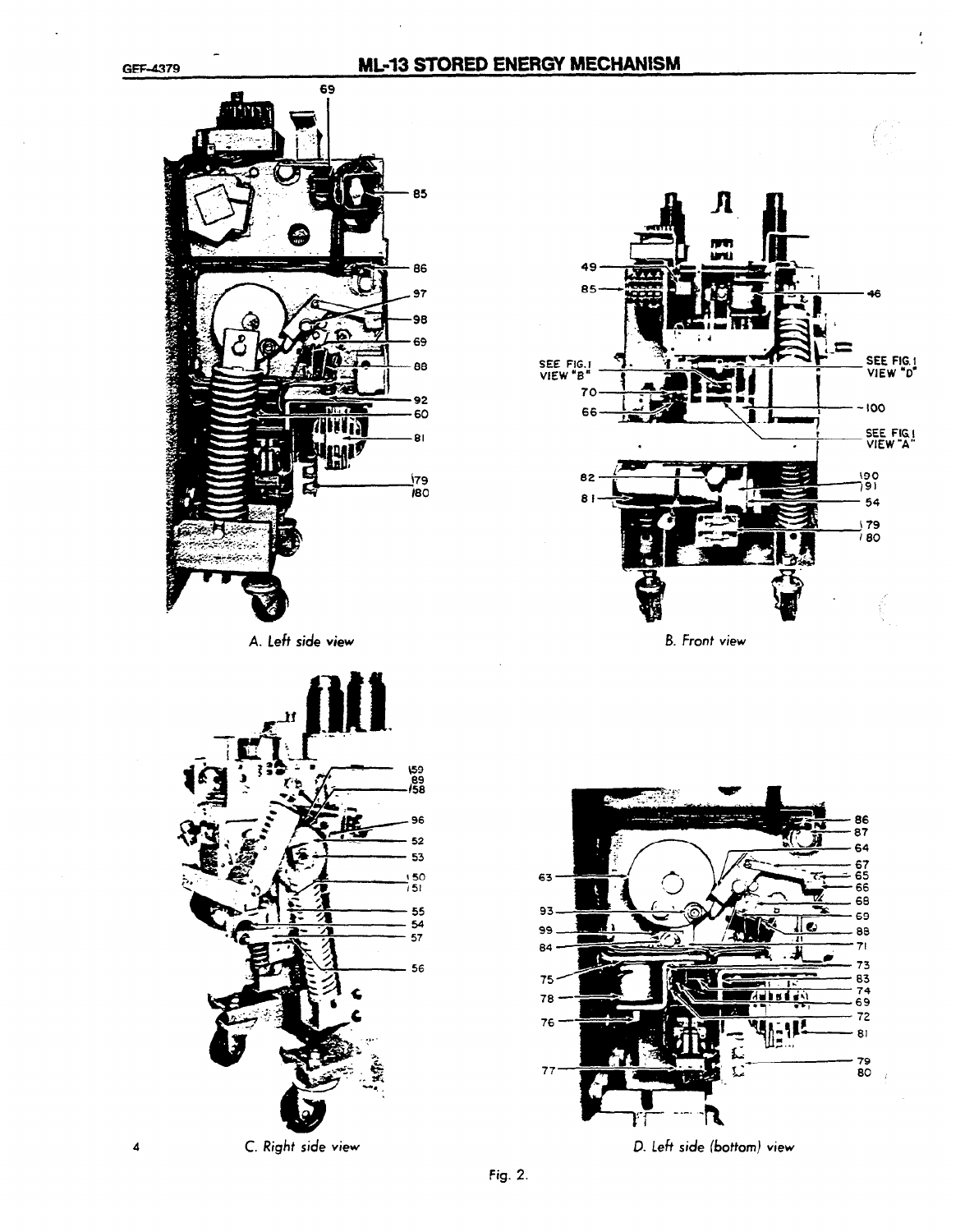#### **ML-13 STORED ENERGY MECHANISM**

85-

 $70$ 

66

49

SEE FIG.<br>VIEW "B"



 $82 - 90$  $81 - 54$ 

 $\mathbf n$ 

**FIFT** ije i





<sup>4</sup>C. Right side view D. Left side (bottom) view

 $\mathcal{C}^{\mathbb{R}}$ 

SEE FIG. I

۵ĥ

VIEW "D'

190<br>791<br>- 54

-100

) 79<br>7 BO

<sup>1</sup>. I I

 $\begin{array}{c|c|c|c|c} \cdot \quad & \cdot \quad & \text{SEE Fig.} \ \hline \cdot \quad & \cdot \quad & \text{VIEW "A"} \end{array}$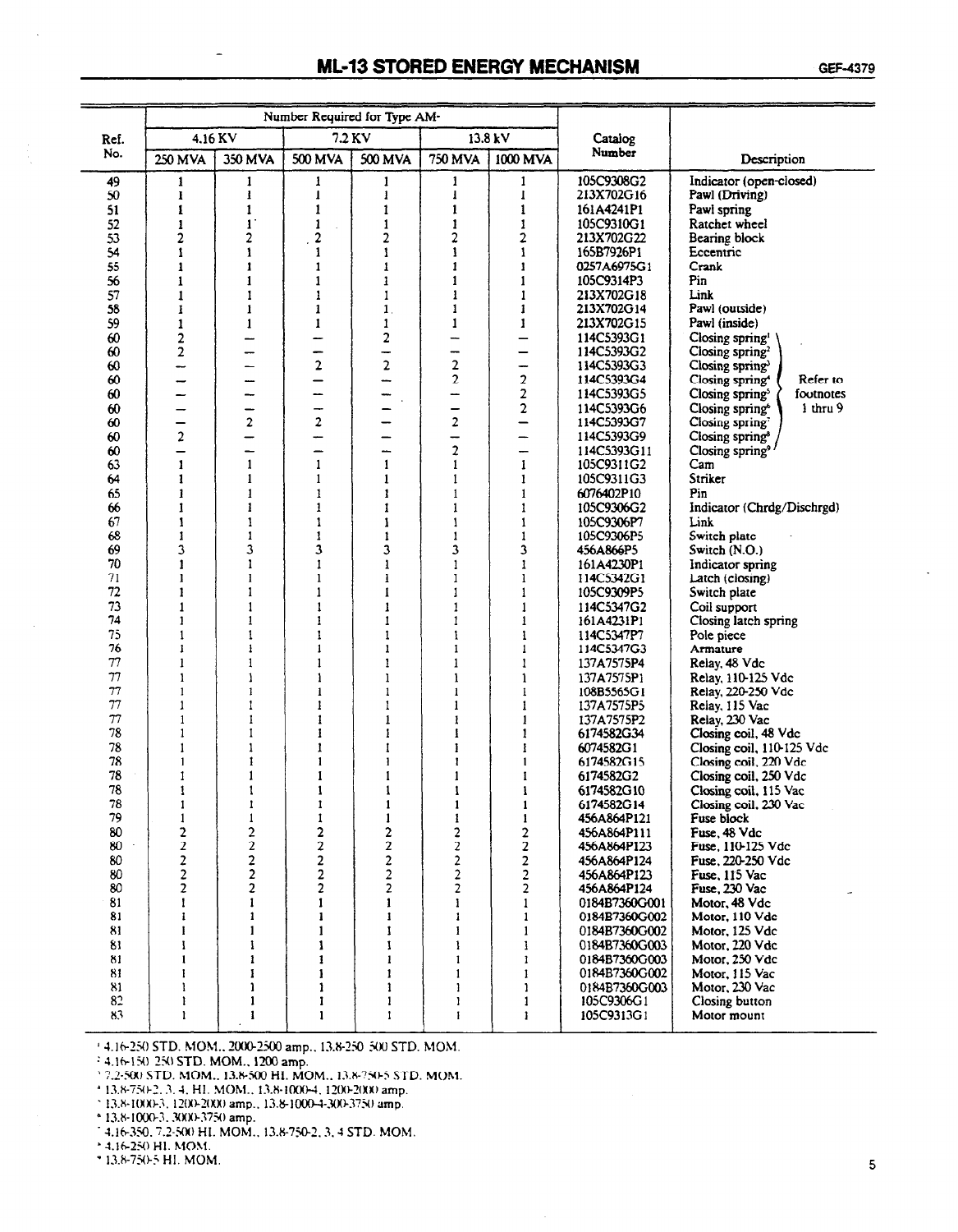|          |                         |                         |                         | Number Required for Type AM- |                         |                         |                           |                                          |
|----------|-------------------------|-------------------------|-------------------------|------------------------------|-------------------------|-------------------------|---------------------------|------------------------------------------|
| Ref.     | 4.16 KV                 |                         | 7.2 KV                  |                              |                         | 13.8 kV                 | Catalog                   |                                          |
| No.      | 250 MVA                 | 350 MVA                 | 500 MVA                 | 500 MVA                      | <b>750 MVA</b>          | 1000 MVA                | Number                    | Description                              |
| 49       | 1                       | 1                       | ł                       | 1                            | 1                       | 1                       | 105C9308G2                | Indicator (open-closed)                  |
| 50       | ı                       | 1                       | $\mathbf{1}$            | 1                            | $\mathbf{1}$            | 1                       | 213X702G16                | Pawl (Driving)                           |
| 51       | 1                       | $\mathbf{I}$            | 1                       | 1                            | 1                       | $\mathbf{1}$            | 161A4241P1                | Pawl spring                              |
| 52       | 1                       | $\mathbf{I}$            | $\mathbf{1}$            | 1                            | 1                       | 1                       | 105C9310G1                | Ratchet wheel                            |
| 53       | 2                       | $\overline{2}$          | 2                       | 2                            | $\overline{2}$          | 2                       | <b>213X702G22</b>         | Bearing block                            |
| 54       | 1                       | 1                       | 1                       | 1                            | 1                       | 1<br>1                  | 165B7926P1                | Eccentric<br>Crank                       |
| 55<br>56 | 1<br>1                  | 1<br>1                  | 1<br>1                  | 1<br>1                       |                         | 1                       | 0257A6975G1<br>105C9314P3 | Pin                                      |
| 57       | 1                       | 1                       | 1                       | 1                            | 1                       | $\mathbf{I}$            | 213X702G18                | Link                                     |
| 58       | 1                       | 1                       | 1                       | $\mathbf{1}$                 |                         | 1                       | 213X702G14                | Pawl (outside)                           |
| 59       | 1                       | $\mathbf{1}$            | $\mathbf{1}$            | 1                            | 1                       | $\mathbf{1}$            | 213X702G15                | Pawl (inside)                            |
| 60       | 2                       |                         |                         | 2                            |                         |                         | 114C5393G1                | Closing spring <sup>1</sup>              |
| 60       | $\overline{\mathbf{2}}$ |                         | -                       |                              | --                      | -                       | 114C5393G2                | Closing spring <sup>2</sup>              |
| 60       |                         |                         | 2                       | 2                            | $\overline{\mathbf{2}}$ | ÷                       | 114C5393G3                | Closing spring                           |
| 60       | --                      |                         |                         | ---                          | $\mathbf{2}$            | 2                       | 114C5393G4                | Closing spring <sup>4</sup><br>Refer to  |
| 60       |                         | —                       |                         |                              |                         | $\overline{2}$          | 114C5393G5                | Closing spring <sup>5</sup><br>footnotes |
| 60       |                         | -                       | ⊸                       |                              |                         | 2                       | 114C5393G6                | i thru 9<br>Closing spring <sup>6</sup>  |
| 60       | -                       | $\boldsymbol{2}$        | 2                       |                              | 2                       | —                       | 114C5393G7                | Closing spring                           |
| 60       | $\overline{2}$          | —                       |                         |                              | -                       | –                       | 114C5393G9                | Closing spring <sup>8</sup>              |
| 60       | -                       | —                       | —                       | --                           | $\overline{c}$          | -                       | 114C5393G11               | Closing spring <sup>9</sup>              |
| 63       | 1                       | 1                       | 1                       | 1                            | 1                       | 1                       | 105C9311G2                | Cam                                      |
| 64       | 1                       | 1                       | 1                       | 1                            | 1                       | 1                       | 105C9311G3                | Striker                                  |
| 65       | 1                       | 1                       | 1                       | 1                            |                         | 1                       | 6076402P10                | Pin                                      |
| 66       | 1                       | 1                       | 1                       | 1                            | 1                       | 1                       | 105C9306G2                | Indicator (Chrdg/Dischrgd)               |
| 67       | 1                       | 1                       | 1                       | 1                            | 1                       | 1                       | 105C9306P7                | Link                                     |
| 68       | 1                       | 1                       | 1                       | 1                            | 1                       | $\mathbf{1}$            | 105C9306P5                | Switch plate                             |
| 69       | 3                       | 3                       | 3                       | 3                            | 3                       | 3                       | 456A866P5                 | Switch (N.O.)                            |
| 70       | $\mathbf{1}$            | 1                       | 1                       | 1                            | 1                       | 1                       | 161A4230P1                | Indicator spring                         |
| 71       | 1                       | 1                       | 1                       | i                            | 1                       | 1                       | 114C5342G1                | Latch (closing)                          |
| 72       | 1                       | 1                       | 1                       | 1                            | 1                       | $\mathbf{1}$            | 105C9309P5                | Switch plate                             |
| 73       | 1                       | 1                       | ı                       | 1                            | 1                       | 1                       | 114C5347G2                | Coil support                             |
| 74       | 1                       | 1                       | 1                       | 1                            | 1                       | 1                       | 161A4231P1                | Closing latch spring                     |
| 75       | $\mathbf{1}$            | ŧ                       | 1                       | 1                            | 1                       | 1                       | 114C5347P7                | Pole piece                               |
| 76       | 1                       | 1                       | 1                       | 1                            | 1                       | 1                       | 114C5347G3                | Armature                                 |
| 77<br>77 | 1                       | 1                       | 1                       | 1                            | 1                       | 1                       | 137A7575P4                | Relay, 48 Vdc                            |
| 77       | $\mathbf{1}$<br>1       | 1<br>1                  | 1                       | 1<br>$\mathbf{1}$            | 1<br>1                  | 1                       | 137A7575P1                | Relay, 110-125 Vdc                       |
| 77       | $\mathbf{1}$            | $\mathbf{1}$            | 1<br>1                  | 1                            | 1                       | 1<br>1                  | 108B5565G1<br>137A7575P5  | Relay, 220-250 Vdc<br>Relay, 115 Vac     |
| 77       | $\mathbf{1}$            | $\mathbf{1}$            | 1                       | 1                            | ī                       | 1                       | 137A7575P2                | Relay, 230 Vac                           |
| 78       | 1                       | $\mathbf{1}$            | 1                       | 1                            |                         | 1                       | 6174582G34                | Closing coil, 48 Vdc                     |
| 78       | 1                       | 1                       | 1                       | 1                            | 1                       | ł                       | 6074582G1                 | Closing coil, 110-125 Vdc                |
| 78       | $\mathbf{1}$            | 1                       | 1                       | ł                            | 1                       | 1                       | 6174582G15                | Closing coil, 220 Vdc                    |
| 78       | 1                       | $\mathbf{1}$            | 1                       | 1                            | 1                       | 1                       | 6174582G2                 | Closing coil, 250 Vdc                    |
| 78       |                         |                         | $\mathbf{1}$            |                              |                         |                         | 6174582G10                | Closing coil, 115 Vac                    |
| 78       | 1                       | 1                       | 1                       | 1                            | 1                       | 1                       | 6174582G14                | Closing coil, 230 Vac                    |
| 79       | 1                       | 1                       | 1                       | 1                            | 1                       | 1                       | 456A864P121               | Fuse block                               |
| 80       | $\mathbf{2}$            | $\mathbf{2}$            | 2                       | 2                            | $\overline{\mathbf{c}}$ | $\overline{\mathbf{c}}$ | 456A864P111               | Fuse, 48 Vdc                             |
| 80       | $\overline{\mathbf{c}}$ | $\overline{\mathbf{c}}$ | $\boldsymbol{2}$        | 2                            | $\overline{\mathbf{c}}$ | $\boldsymbol{2}$        | 456A864P123               | Fuse, 110-125 Vdc                        |
| 80       | $\overline{\mathbf{c}}$ | $\overline{\mathbf{c}}$ | $\overline{\mathbf{c}}$ | $\overline{\mathbf{c}}$      | $\overline{\mathbf{c}}$ | $\overline{\mathbf{c}}$ | 456A864P124               | Fuse, 220-250 Vdc                        |
| 80       | $\overline{\mathbf{c}}$ | $\overline{\mathbf{c}}$ | $\overline{\mathbf{2}}$ | $\overline{\mathbf{c}}$      | $\overline{\mathbf{c}}$ | 2                       | 456A864P123               | Fuse, 115 Vac                            |
| 80       | $\overline{\mathbf{z}}$ | $\overline{\mathbf{c}}$ | $\overline{\mathbf{c}}$ | $\overline{2}$               | 2                       | 2                       | 456A864P124               | Fuse, 230 Vac                            |
| 81       | 1                       | 1                       | 1                       | 1                            | 1                       | $\mathbf{1}$            | 0184B7360G001             | Motor, 48 Vdc                            |
| 81       | ı                       | 1                       | $\mathbf{1}$            | 1                            | 1                       | $\mathbf{1}$            | 0184B7360G002             | Motor, 110 Vdc                           |
| 81       | I                       | 1                       | 1                       | 1                            | I                       | $\mathbf{1}$            | 0184B7360G002             | Motor, 125 Vdc                           |
| 81       | I                       | 1                       | $\mathbf{1}$            | 1                            | 1                       | 1                       | 0184B7360G003             | Motor, 220 Vdc                           |
| 81       | 1                       | 1                       | 1                       | 1                            | 1                       | 1                       | 0184B7360G003             | Motor, 250 Vdc                           |
| 81       | Ŧ                       | 1                       | $\mathbf{1}$            | 1                            | $\mathbf{1}$            | 1                       | 0184B7360G002             | Motor, 115 Vac                           |
| 81       | 1                       | ı                       | 1                       | 1                            | 1                       | 1                       | 0184B7360G003             | Motor, 230 Vac                           |
| 82       | 1                       | 1                       | 1                       | 1                            | 1                       | 1                       | 105C9306G1                | Closing button                           |
| 83       | 1                       | 1                       | 1                       | 1                            | I                       | $\mathbf{I}$            | 105C9313G1                | Motor mount                              |

14.16-250 STD. MOM., 2000-2500 amp., 13.8-250 500 STD. MOM.

24.16-150.250 STD, MOM., 1200 amp.<br>24.16-150.250 STD, MOM., 1200 amp.<br>27.2-500 STD, MOM., 13.8-500 HI, MOM., 13.8-750-5 STD, MOM.

 $^{+12.69}$  5.100  $^{+12.60}$  5.100  $^{+11.60}$  6.13.8-1000-4, 1200-2000 amp.<br>  $^{+13.8-750-2.3}$ , 4, HI. MOM., 13.8-1000-4, 1200-2000 amp.<br>  $^{+13.8-1000-3}$ , 200-2000 amp., 13.8-1000-4-300-3750 amp.<br>  $^{+13.8-1000-3}$ , 3000-3

74.16-350, 7.2-500 HL MOM., 13.8-750-2, 3, 4 STD. MOM.

\* 4.16-250 HL MOM.

\* 13.8-750-5 HL MOM.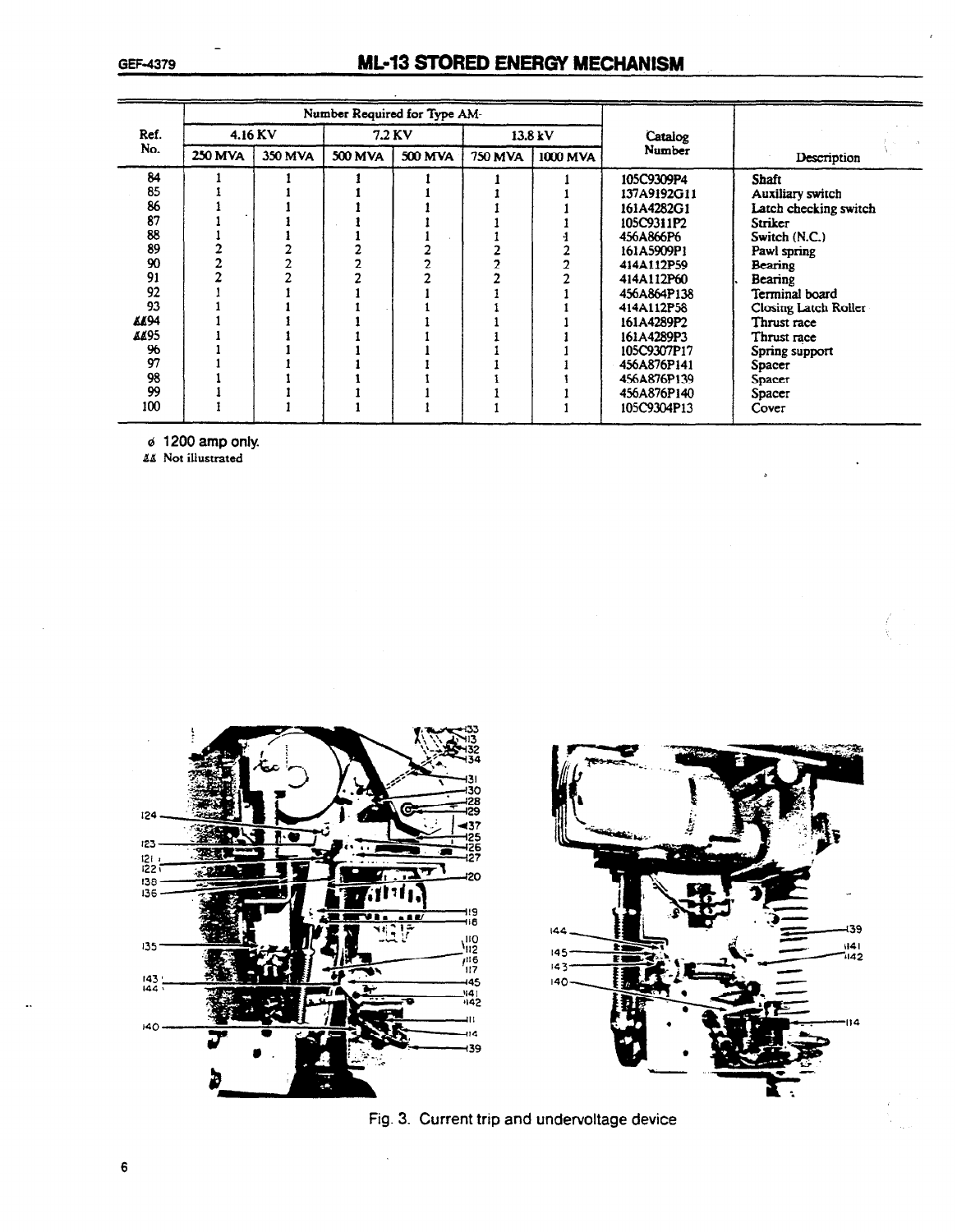# GEF-4379 **ML-13 STORED ENERGY MECHANISM**

|             |                |         |         | Number Required for Type AM- |         |          |             |                       |
|-------------|----------------|---------|---------|------------------------------|---------|----------|-------------|-----------------------|
| Ref.        |                | 4.16 KV |         | 7.2 KV                       |         | 13.8 kV  | Catalog     |                       |
| No.         | <b>250 MVA</b> | 350 MVA | 500 MVA | <b>500 MVA</b>               | 750 MVA | 1000 MVA | Number      | Description           |
| 84          |                |         |         |                              |         |          | 105C9309P4  | Shaft                 |
| 85          |                |         |         |                              |         |          | 137A9192G11 | Auxiliary switch      |
| 86          |                |         |         |                              |         |          | 161A4282G1  | Latch checking switch |
| 87          |                |         |         |                              |         |          | 105C9311P2  | Striker               |
| 88          |                |         |         |                              |         |          | 456A866P6   | Switch (N.C.)         |
| 89          |                |         |         |                              |         |          | 161A5909P1  | Pawl spring           |
| 90          |                |         |         |                              |         |          | 414A112P59  | Bearing               |
| 91          |                |         |         |                              |         |          | 414A112P60  | Bearing               |
| 92          |                |         |         |                              |         |          | 456A864P138 | Terminal board        |
| 93          |                |         |         |                              |         |          | 414A112P58  | Closing Latch Roller  |
| <b>AA94</b> |                |         |         |                              |         |          | 161A4289P2  | Thrust race           |
| AA95        |                |         |         |                              |         |          | 161A4289P3  | Thrust race           |
| 96          |                |         |         |                              |         |          | 105C9307P17 | Spring support        |
| 97          |                |         |         |                              |         |          | 456A876P141 | Spacer                |
| 98          |                |         |         |                              |         |          | 456A876P139 | Spacer                |
| 99          |                |         |         |                              |         |          | 456A876P140 | Spacer                |
| 100         |                |         |         |                              |         |          | 105C9304P13 | Cover                 |

 $\sigma$  1200 amp only.

**LL** Not illustrated



Fig. 3. Current trip and undervoltage device

1141<br>1142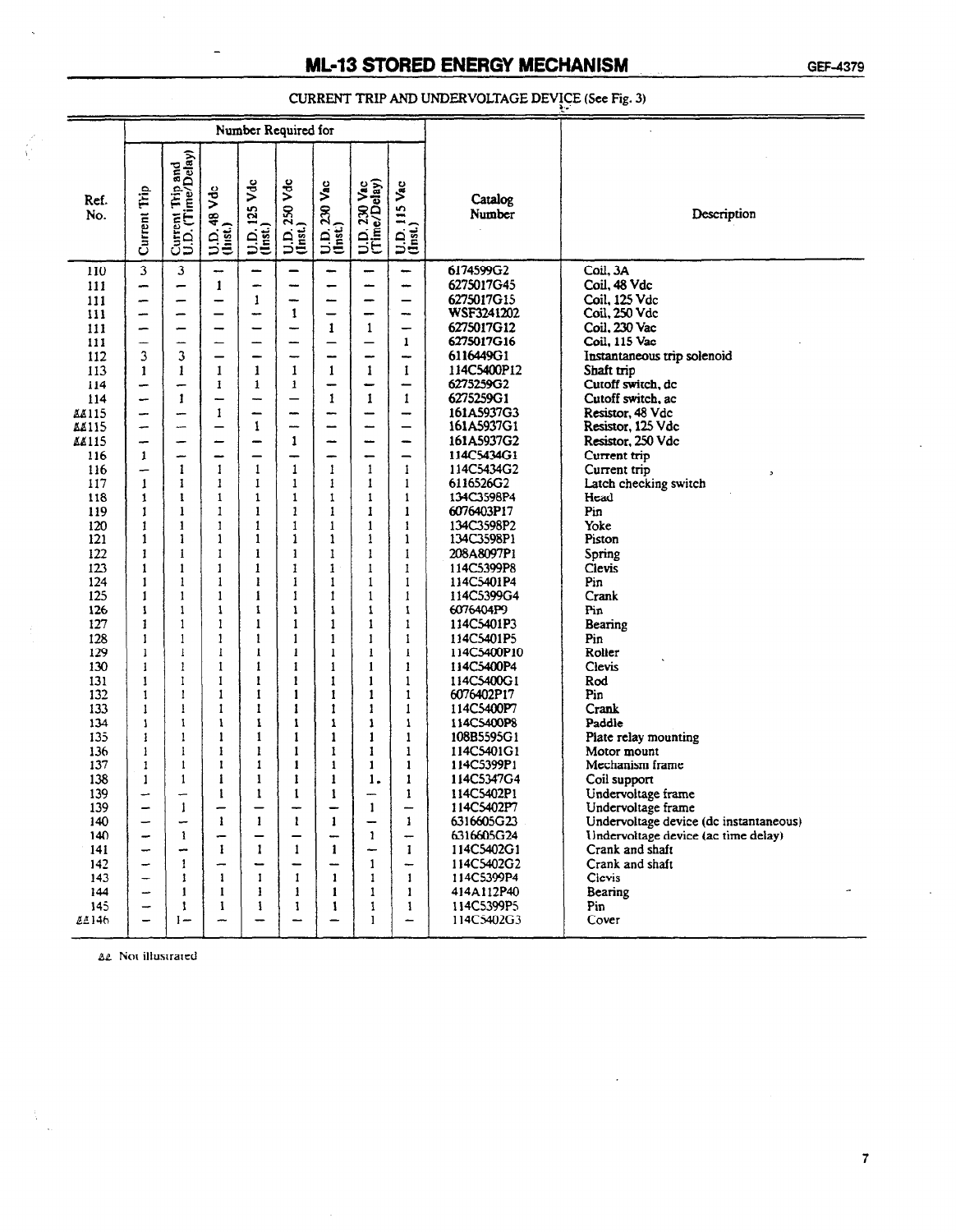$\begin{minipage}{.4\linewidth} \textbf{CURRENT TRIP AND UNDERVOLTAGE DEVICE (See Fig. 3)} \end{minipage}$ 

|                  | Number Required for           |                                       |                          |                           |                           |                                  |                              |                                          |                           |                                                                               |
|------------------|-------------------------------|---------------------------------------|--------------------------|---------------------------|---------------------------|----------------------------------|------------------------------|------------------------------------------|---------------------------|-------------------------------------------------------------------------------|
| Ref.<br>No.      | Current Trip                  | Current Trip and<br>U.D. (Time/Delay) | $U.D. 48 Vdc$<br>(list.) | $U.D. 125 Vdc$<br>(Inst.) | $U.D. 250 Vdc$<br>(Inst.) | $U.D. 230 Vac$<br>(Inst.)        | U.D. 230 Vac<br>(Time/Delay) | U.D. 115 Vac<br>(Inst.)                  | Catalog<br>Number         | Description                                                                   |
| 110<br>111       | $\overline{\mathbf{3}}$<br>-- | $\mathbf{3}$<br>-                     | --<br>1                  | $\overline{\phantom{a}}$  | -<br>---                  | -<br>-                           | -<br>—                       | -<br>-                                   | 6174599G2<br>6275017G45   | Coil, 3A<br>Coil, 48 Vdc                                                      |
| 111              | -                             | -                                     | -                        | 1                         | -                         | $\overbrace{\phantom{13322111}}$ | -                            | —                                        | 6275017G15<br>WSF3241202  | Coil, 125 Vdc                                                                 |
| 111              | <b>__</b>                     | -                                     | -                        | ÷                         | 1                         | -                                | -                            | --                                       | 6275017G12                | Coil, 250 Vdc<br>Coil, 230 Vac                                                |
| 111<br>111       | -<br>--                       | -<br>-                                | -<br>-                   |                           | -<br>÷                    | 1<br>-                           | $\mathbf{1}$<br>-            | $\mathbf{1}$                             | 6275017G16                | Coil, 115 Vac                                                                 |
| 112              | 3                             | 3                                     | —                        |                           | -                         | ÷                                | --                           | -                                        | 6116449G1                 | Instantaneous trip solenoid                                                   |
| 113              | 1                             | 1                                     | 1                        | 1                         | 1                         | 1                                | 1                            | 1                                        | 114C5400P12               | Shaft trip                                                                    |
| 114              | -                             | -                                     | 1                        | 1                         | $\mathbf{1}$              | -                                | -                            | $\overline{\phantom{0}}$                 | 6275259G2                 | Cutoff switch, dc                                                             |
| 114              | ⊷                             | 1                                     | -                        |                           | —                         | 1                                | 1                            | 1                                        | 6275259G1                 | Cutoff switch, ac                                                             |
| 88115            | -                             |                                       | 1                        | -                         | --                        | ÷                                | -                            | -                                        | 161A5937G3                | Resistor, 48 Vdc                                                              |
| 88115            | -                             | --                                    | —                        | 1                         | ---                       | -                                | --                           | —                                        | 161A5937G1                | Resistor, 125 Vdc                                                             |
| 88115            | $\overline{\phantom{a}}$      | -                                     |                          |                           | 1                         | -                                | <b></b>                      | $\overline{\phantom{0}}$                 | 161A5937G2                | Resistor, 250 Vdc                                                             |
| 116              | 1                             | ÷                                     | -                        |                           | -                         | ÷                                | -                            | $\overline{\phantom{0}}$                 | 114C5434G1                | Current trip                                                                  |
| 116              | -<br>1                        | 1                                     | 1                        | 1                         | $\mathbf{1}$<br>1         | $\mathbf{1}$                     | $\mathbf{1}$<br>1            | $\mathbf{1}$<br>1                        | 114C5434G2                | Current trip                                                                  |
| 117<br>118       | 1                             | 1<br>1                                | 1<br>1                   | 1<br>$\mathbf{1}$         | 1                         | 1<br>1                           | $\mathbf{1}$                 | $\mathbf{1}$                             | 6116526G2<br>134C3598P4   | Latch checking switch<br>Head                                                 |
| 119              | $\mathbf{1}$                  | 1                                     | 1                        | 1                         | $\mathbf{1}$              | $\mathbf{1}$                     | $\mathbf{1}$                 | $\mathbf{I}$                             | 6076403P17                | Pin                                                                           |
| 120              | 1                             | 1                                     | 1                        | 1                         | $\mathbf{1}$              | $\mathbf{1}$                     | $\mathbf{1}$                 | 1                                        | 134C3598P2                | Yoke                                                                          |
| 121              | 1                             | 1                                     | 1                        | 1                         | 1                         | $\mathbf{1}$                     | 1                            | $\mathbf{1}$                             | 134C3598P1                | Piston                                                                        |
| 122              | 1                             | 1                                     | 1                        | 1                         | $\mathbf{1}$              | $\mathbf{1}$                     | 1                            | $\mathbf{1}$                             | 208A8097P1                | Spring                                                                        |
| 123              | 1                             | 1                                     | 1                        | 1                         | 1                         | $\mathbf{1}$                     | $\mathbf{I}$                 | 1                                        | 114C5399P8                | Cievis                                                                        |
| 124              | 1                             | 1                                     | $\mathbf{1}$             | ı                         | 1                         | 1                                | $\mathbf{1}$                 | $\mathbf{1}$                             | 114C5401P4                | Pin                                                                           |
| 125              | 1                             | 1                                     | $\mathbf{1}$             | ı                         | 1                         | 1                                | $\mathbf{1}$                 | 1                                        | 114C5399G4                | Crank                                                                         |
| 126              | 1                             | 1                                     | $\mathbf{1}$             | 1                         | 1                         | 1                                | $\mathbf{1}$                 | 1                                        | 6076404P9                 | Pin                                                                           |
| 127              | 1                             | 1                                     | 1                        | $\mathbf{1}$              | 1                         | 1                                | 1                            | 1                                        | 114C5401P3                | Bearing                                                                       |
| 128              | 1                             | 1                                     | 1                        | 1                         | 1                         | 1                                | 1                            | $\mathbf{1}$                             | 114C5401P5                | Pin                                                                           |
| 129<br>130       | 1<br>1                        | ı<br>1                                | 1<br>1                   | 1<br>1                    | 1<br>1                    | 1<br>$\mathbf{1}$                | 1<br>$\mathbf{1}$            | $\mathbf{I}$<br>$\mathbf{1}$             | 114C5400P10<br>114C5400P4 | Roller<br>Clevis                                                              |
| 131              | 1                             | 1                                     | 1                        | 1                         | 1                         | 1                                | $\mathbf{1}$                 | $\mathbf{1}$                             | 114C5400G1                | Rod                                                                           |
| 132              | 1                             | 1                                     | $\mathbf{1}$             | $\mathbf{1}$              | $\mathbf{1}$              | 1                                | 1                            | $\mathbf{1}$                             | 6076402P17                | Pin                                                                           |
| 133              | 1                             | 1                                     | 1                        | 1                         | 1                         | 1                                | 1                            | $\mathbf{1}$                             | 114C5400P7                | Crank                                                                         |
| 134              | 1                             | 1                                     | 1                        | 1                         | 1                         | 1                                | 1                            | $\mathbf{1}$                             | 114C5400P8                | Paddle                                                                        |
| 135              | 1                             | 1                                     | 1                        | 1                         | 1                         | 1                                | 1                            | 1                                        | 108B5595G1                | Plate relay mounting                                                          |
| 136              | 1                             | 1                                     | 1                        | 1                         | 1                         | 1                                | 1                            | 1                                        | 114C5401G1                | Motor mount                                                                   |
| 137              | 1                             | 1                                     | 1                        | 1                         | 1                         | 1                                | 1                            | 1                                        | 114C5399P1                | Mechanism frame                                                               |
| 138              | 1                             | 1                                     | 1                        | 1                         | 1                         | 1                                | 1.                           | 1                                        | 114C5347G4                | Coil support                                                                  |
| 139              |                               |                                       | ı                        | 1                         | 1                         | 1                                |                              | 1                                        | 114C5402P1                | Undervoltage frame                                                            |
| 139<br>140       | -<br>-                        | -                                     | 1                        | $\mathbf{I}$              | $\mathbf{1}$              | $\mathbf{1}$                     | 1<br>—                       | $\overline{\phantom{a}}$<br>$\mathbf{1}$ | 114C5402P7<br>6316605G23  | Undervoltage frame                                                            |
| 140              | $\overline{\phantom{0}}$      | 1                                     | -                        |                           |                           | <u></u>                          | $\mathbf{1}$                 | $\overline{\phantom{0}}$                 | 6316605G24                | Undervoltage device (dc instantaneous)<br>Undervoltage device (ac time delay) |
| 141              | -                             | -                                     | $\mathbf{1}$             | $\mathbf{1}$              | $\mathbf{1}$              | $\mathbf{1}$                     | -                            | 1                                        | 114C5402G1                | Crank and shaft                                                               |
| 142 <sup>°</sup> | $\overline{\phantom{0}}$      | 1                                     | -                        | -                         | -                         | -                                | $\mathbf{1}$                 | $\overline{\phantom{m}}$                 | 114C5402G2                | Crank and shaft                                                               |
| 143              |                               | 1                                     | $\mathbf{1}$             | $\mathbf{I}$              | $\mathbf{I}$              | $\mathbf{1}$                     | $\mathbf{1}$                 | 1                                        | 114C5399P4                | Cievis                                                                        |
| 144              | ÷                             | 1                                     | 1                        | 1                         | 1                         | 1                                | 1                            | 1                                        | 414A112P40                | Bearing                                                                       |
| 145              |                               | 1                                     | -1                       | 1                         | 1                         | 1                                | 1                            | 1                                        | 114C5399P5                | Pin                                                                           |
| 44146            |                               | $1 -$                                 |                          |                           |                           |                                  | 1                            | -                                        | 114C5402G3                | Cover                                                                         |

**AL** Not illustrated

 $\overline{7}$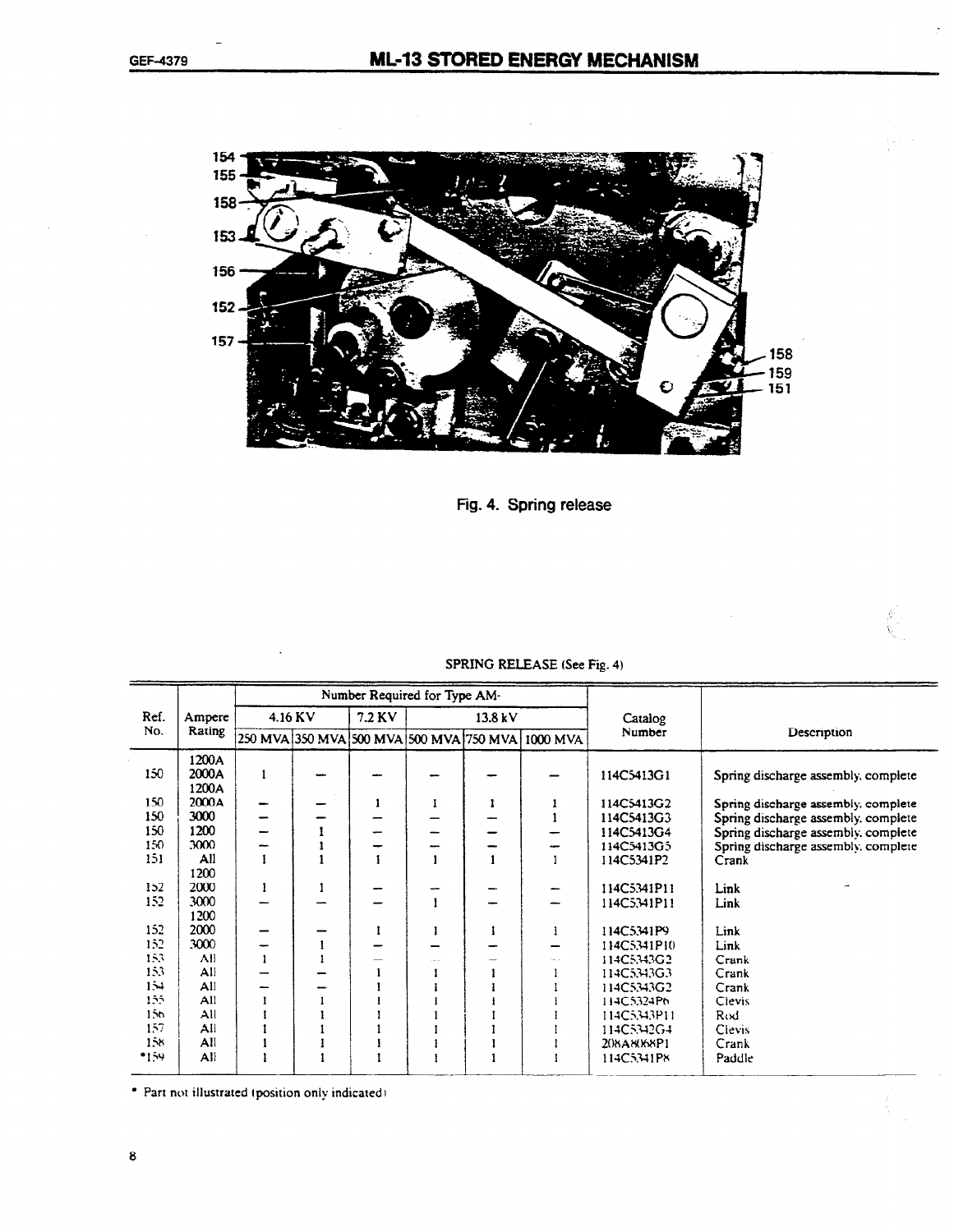

Fig. 4. Spring release

|         |                         |              | Number Required for Type AM- |   |         |                                                  |                   |                                     |
|---------|-------------------------|--------------|------------------------------|---|---------|--------------------------------------------------|-------------------|-------------------------------------|
| Ref.    | Ampere                  | $4.16$ KV    | 7.2 KV                       |   | 13.8 kV |                                                  | Catalog           |                                     |
| No.     | Rating                  |              |                              |   |         | 250 MVA 350 MVA 500 MVA 500 MVA 750 MVA 1000 MVA | Number            | Description                         |
| 150     | 1200A<br>2000A<br>1200A | $\mathbf{1}$ |                              |   |         |                                                  | 114C5413G1        | Spring discharge assembly, complete |
| 150     | 2000A                   |              |                              | 1 |         |                                                  | 114C5413G2        | Spring discharge assembly, complete |
| 150     | 3000                    |              |                              |   |         |                                                  | 114C5413G3        | Spring discharge assembly, complete |
| 150     | 1200                    |              |                              |   |         |                                                  | 114C5413G4        | Spring discharge assembly, complete |
| 150     | 3000                    |              |                              |   |         |                                                  | 114C5413G5        | Spring discharge assembly, complete |
| 151     | All                     |              |                              |   |         |                                                  | 114C5341P2        | Crank                               |
|         | 1200                    |              |                              |   |         |                                                  |                   |                                     |
| 152     | 2000                    |              |                              |   |         |                                                  | 114C5341P11       | Link                                |
| 152     | 3000                    |              |                              |   |         |                                                  | 114C5341P11       | Link                                |
|         | 1200                    |              |                              |   |         |                                                  |                   |                                     |
| 152     | 2000                    |              |                              |   |         | 1                                                | 114C5341P9        | Link                                |
| 152     | 3000                    |              |                              |   |         |                                                  | 114C5341P10       | Link                                |
| 153     | All                     |              |                              |   |         |                                                  | 114C5343G2        | Crank                               |
| 153     | All                     |              |                              |   |         |                                                  | 114C5343G3        | Crank                               |
| 154     | All                     |              |                              |   |         |                                                  | 114C5343G2        | Crank                               |
| 155     | All                     |              |                              |   |         |                                                  | 114C5324P6        | Clevis                              |
| $150 -$ | AII                     |              |                              |   |         |                                                  | 114C5343P11       | Rod                                 |
| 157     | All                     |              |                              |   |         |                                                  | 114C5342G4        | Clevis                              |
| 158     | All                     |              |                              |   |         |                                                  | <b>208A8068P1</b> | Crank                               |
| *159    | All                     |              |                              |   |         |                                                  | 114C5341P8        | Paddle                              |

#### SPRING RELEASE (See Fig. 4)

\* Part not illustrated (position only indicated)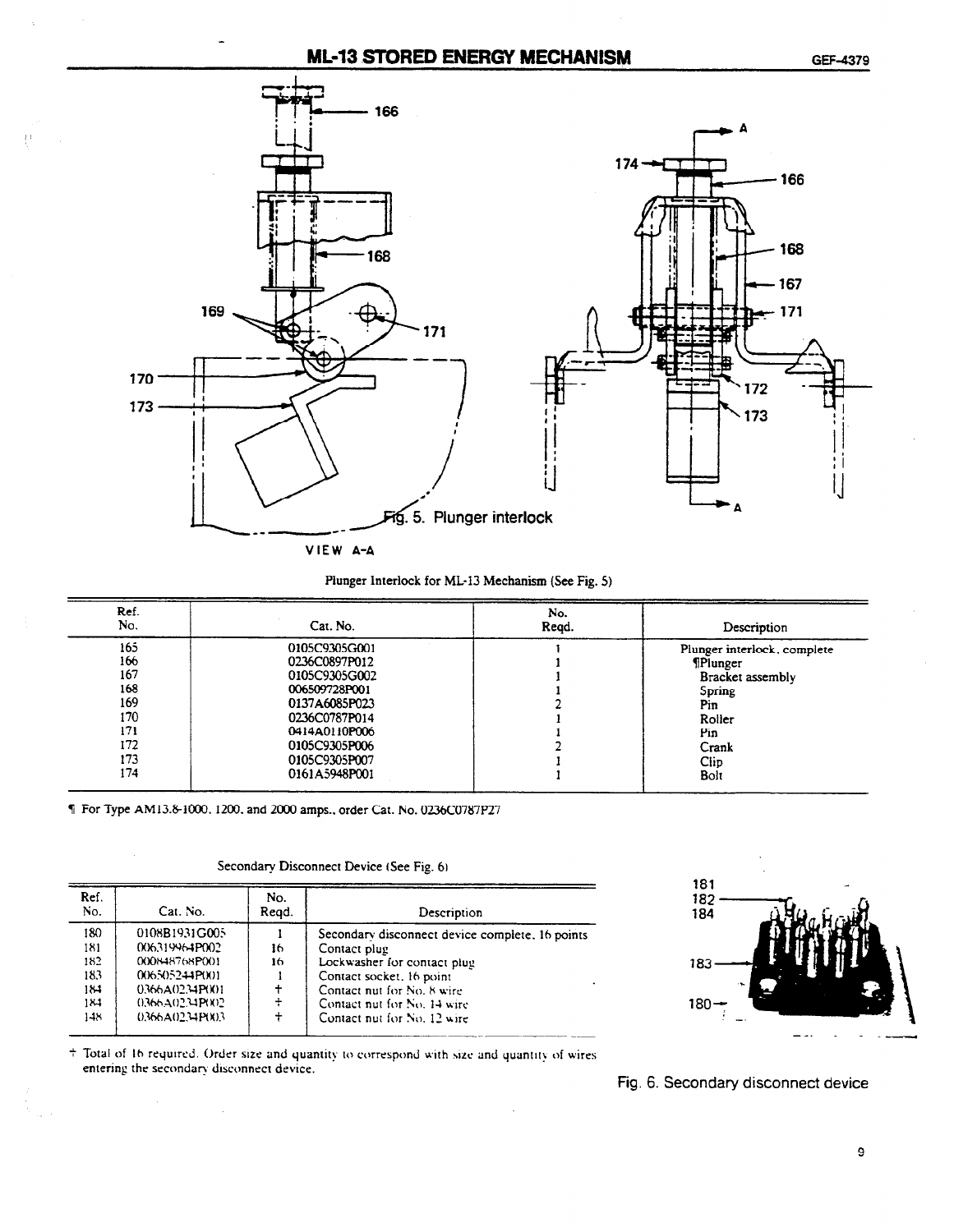### ML-13 STORED ENERGY MECHANISM GEF-4379



#### Plunger Interlock for ML-13 Mechanism (See Fig. 5)

| Ref.<br>No. | Cat. No.      | No.<br>Reqd. | Description                 |
|-------------|---------------|--------------|-----------------------------|
| 165         | 0105C9305G001 |              | Plunger interlock, complete |
| 166         | 0236C0897P012 |              | <b>TPlunger</b>             |
| 167         | 0105C9305G002 |              | Bracket assembly            |
| 168         | 006509728P001 |              | Spring                      |
| 169         | 0137A6085P023 |              | Pin                         |
| 170         | 0236C0787P014 |              | Roller                      |
| 171         | 0414A0110P006 |              | Pin                         |
| 172         | 0105C9305P006 |              | Crank                       |
| 173         | 0105C9305P007 |              | <b>Clip</b>                 |
| 174         | 0161A5948P001 |              | Bolt                        |

I For Type AM1381000. 1200. and 2000 amps., order Cat. No. 0236CO787P27

 $\mathcal{L}^{\mathcal{A}}$ 

Secondary Disconnect Device (See Fig. 6)

| Ref.<br>No. | Cat. No.          | No.<br>Read. | Description                                     |
|-------------|-------------------|--------------|-------------------------------------------------|
| 180         | 0108B1931G005     |              | Secondary disconnect device complete. 16 points |
| 181         | 006319964P002     | 16           | Contact plug                                    |
| 182         | 000848768P001     | 16           | Lockwasher for contact plug                     |
| 183         | 006505244P(10)1   |              | Contact socket, 16 point                        |
| 184         | 0.366A(02.34P(X)) |              | Contact nut for No. 8 wire                      |
| 184         | 0366A0234P(1)2    | ÷            | Contact nut for No. 14 wire                     |
| 148         | 0.366A0234P(X)3   |              | Contact nut for No. 12 wire                     |



<sup>+</sup> Total of 16 required. Order size and quantity to correspond with size and quantity of wires entering the secondary disconnect device.

 $\mathbf{r}$ 

Fig. 6. Secondary disconnect device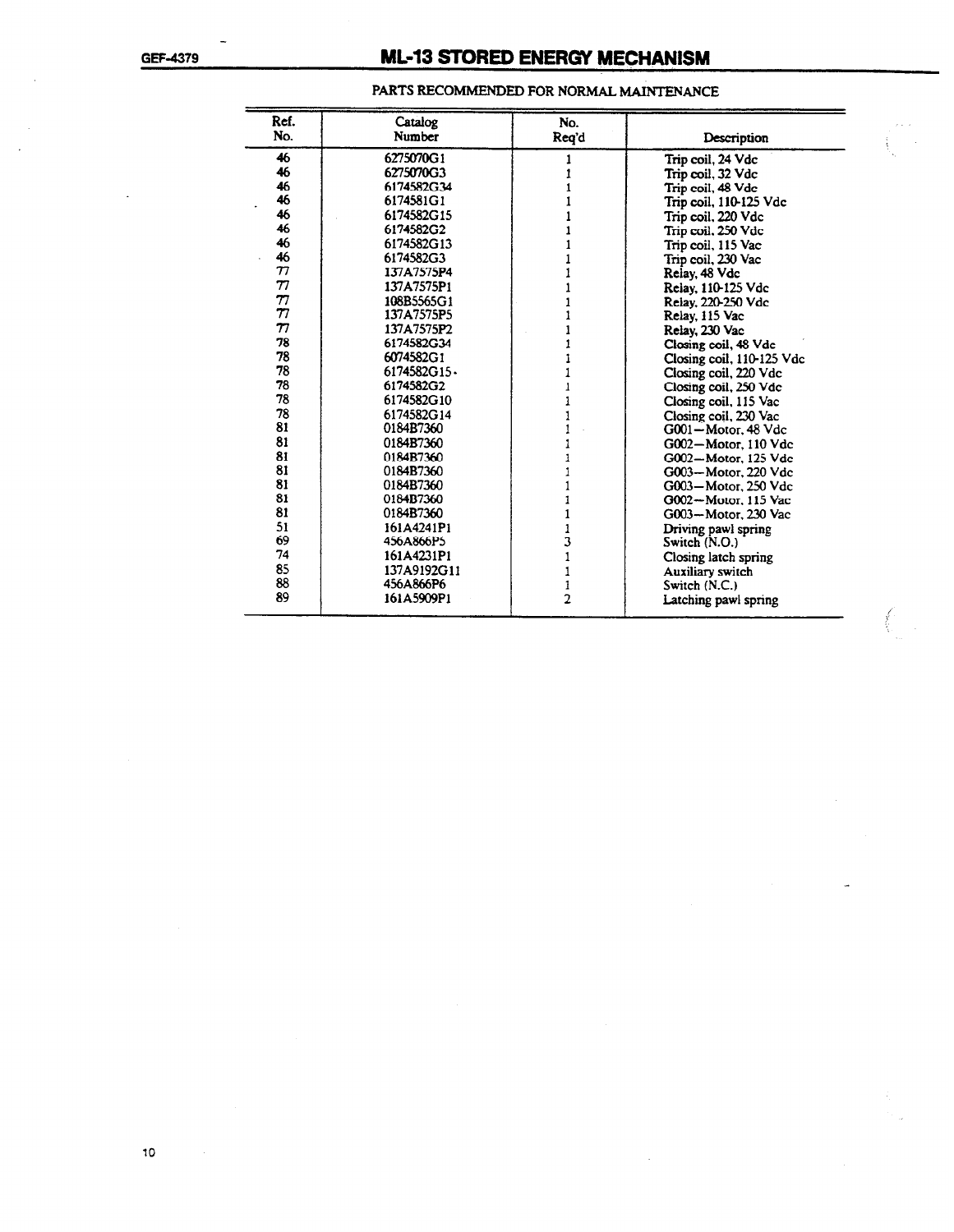# GEF-4379 **ML-13 STORED ENERGY MECHANISM**

| Ref.                | Catalog     | No.            |                           |
|---------------------|-------------|----------------|---------------------------|
| No.                 | Number      | Reg'd          | Description               |
| 46                  | 6275070G1   |                | Trip coil, 24 Vdc         |
| 46                  | 6275070G3   |                | Trip coil, 32 Vdc         |
| 46                  | 6174582G34  |                | Trip coil, 48 Vdc         |
| 46                  | 6174581G1   |                | Trip coil, 110-125 Vdc    |
| 46                  | 6174582G15  |                | Trip coil, 220 Vdc        |
| 46                  | 6174582G2   |                | Trip coil, 250 Vdc        |
| 46                  | 6174582G13  |                | Trip coil, 115 Vac        |
| 46                  | 6174582G3   |                | Trip coil, 230 Vac        |
| $\boldsymbol{\tau}$ | 137A7575P4  |                | Relay, 48 Vdc             |
| 77                  | 137A7575P1  |                | Relay, 110-125 Vdc        |
| $\tau$              | 108B5565G1  |                | Relay, 220-250 Vdc        |
| 77                  | 137A7575P5  |                | Relay, 115 Vac            |
| $\boldsymbol{\tau}$ | 137A7575P2  |                | Relay, 230 Vac            |
| 78                  | 6174582G34  |                | Closing coil, 48 Vdc      |
| 78                  | 6074582G1   |                | Closing coil, 110-125 Vdc |
| 78                  | 6174582G15. |                | Closing coil, 220 Vdc     |
| 78                  | 6174582G2   |                | Closing coil, 250 Vdc     |
| 78                  | 6174582G10  |                | Closing coil, 115 Vac     |
| 78                  | 6174582G14  |                | Closing coil, 230 Vac     |
| 81                  | 0184B7360   |                | G001-Motor, 48 Vdc        |
| 81                  | 0184B7360   |                | $G002 - Motor$ . 110 Vdc  |
| 81                  | 0184B7360   |                | G002-Motor, 125 Vdc       |
| 81                  | 0184B7360   |                | G003-Motor, 220 Vdc       |
| 81                  | 0184B7360   |                | G003-Motor, 250 Vdc       |
| 81                  | 0184B7360   |                | G002-Motor, 115 Vac       |
| 81                  | 0184B7360   |                | G003-Motor, 230 Vac       |
| 51                  | 161A4241P1  | 1              | Driving pawl spring       |
| 69                  | 456A866P5   | 3              | Switch (N.O.)             |
| 74                  | 161A4231P1  |                | Closing latch spring      |
| 85                  | 137A9192G11 |                | Auxiliary switch          |
| 88                  | 456A866P6   |                | Switch $(N.C.)$           |
| 89                  | 161A5909P1  | $\overline{2}$ | Latching pawl spring      |

#### PARTS RECOMMENDED FOR NORMAL MAINTENANCE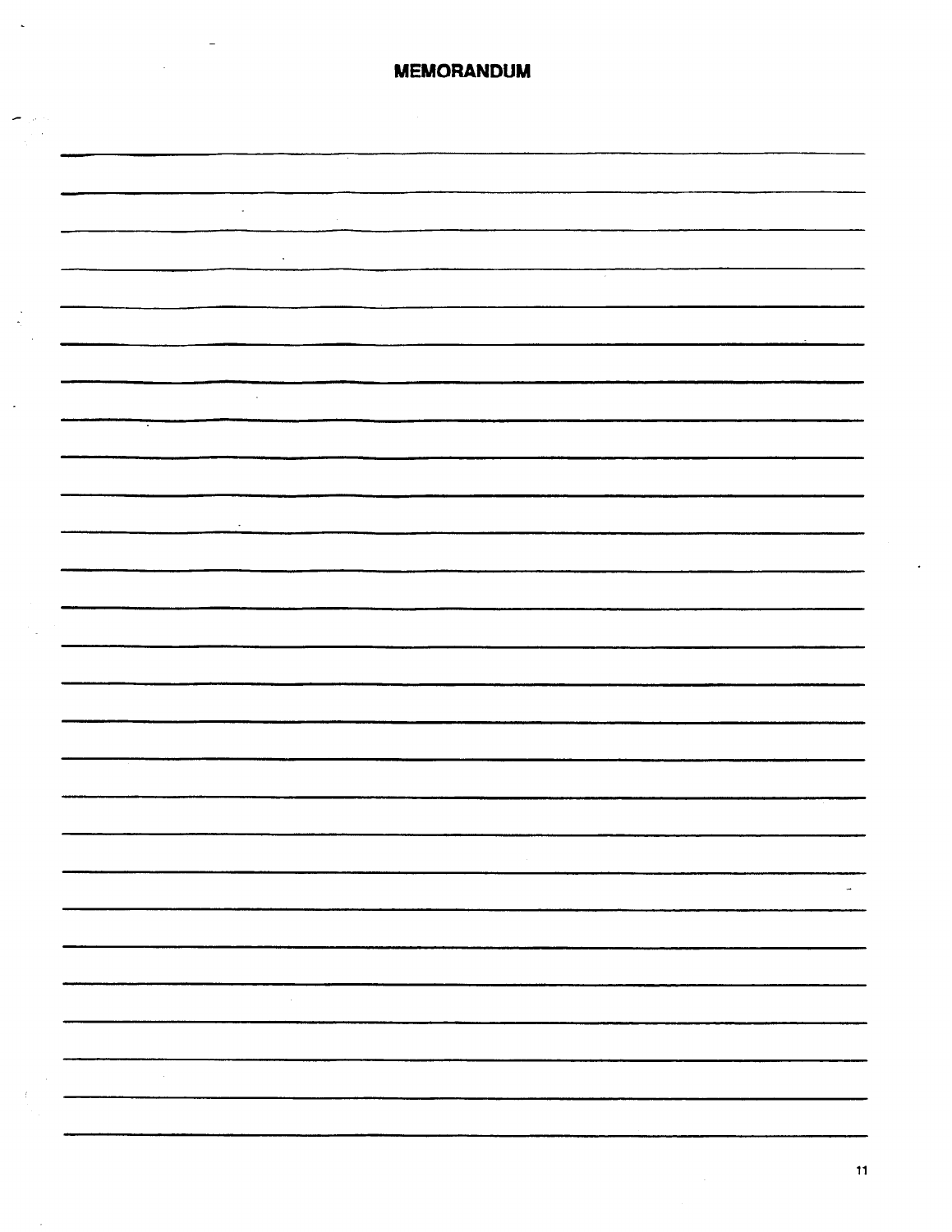| <b>MEMORANDUM</b>                                         |
|-----------------------------------------------------------|
|                                                           |
|                                                           |
|                                                           |
|                                                           |
|                                                           |
|                                                           |
| $\sim$                                                    |
|                                                           |
|                                                           |
| $\sim$                                                    |
|                                                           |
| $\mathcal{L}$                                             |
|                                                           |
|                                                           |
|                                                           |
| $\cdot$                                                   |
|                                                           |
|                                                           |
|                                                           |
|                                                           |
|                                                           |
|                                                           |
|                                                           |
|                                                           |
|                                                           |
|                                                           |
| ------------                                              |
| $\sim 10^{-1}$                                            |
| $\sim$                                                    |
|                                                           |
|                                                           |
|                                                           |
| $\sim 10^{11}$                                            |
|                                                           |
|                                                           |
| $\mathcal{L}_{\text{max}}$ and $\mathcal{L}_{\text{max}}$ |
|                                                           |
|                                                           |

 $\bar{\mathbf{A}}$ 

 $\left\langle -\right\rangle$ 

 $\frac{1}{2}$ 

 $\mathbb{R}$ 

 $\bar{z}$ 

 $\hat{\boldsymbol{\beta}}$